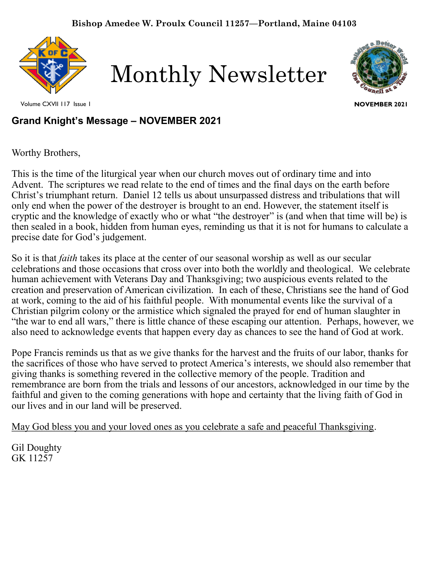

Monthly Newsletter



Volume CXVII 117 Issue 1

**NOVEMBER 2021**

# **Grand Knight's Message – NOVEMBER 2021**

Worthy Brothers,

This is the time of the liturgical year when our church moves out of ordinary time and into Advent. The scriptures we read relate to the end of times and the final days on the earth before Christ's triumphant return. Daniel 12 tells us about unsurpassed distress and tribulations that will only end when the power of the destroyer is brought to an end. However, the statement itself is cryptic and the knowledge of exactly who or what "the destroyer" is (and when that time will be) is then sealed in a book, hidden from human eyes, reminding us that it is not for humans to calculate a precise date for God's judgement.

So it is that *faith* takes its place at the center of our seasonal worship as well as our secular celebrations and those occasions that cross over into both the worldly and theological. We celebrate human achievement with Veterans Day and Thanksgiving; two auspicious events related to the creation and preservation of American civilization. In each of these, Christians see the hand of God at work, coming to the aid of his faithful people. With monumental events like the survival of a Christian pilgrim colony or the armistice which signaled the prayed for end of human slaughter in "the war to end all wars," there is little chance of these escaping our attention. Perhaps, however, we also need to acknowledge events that happen every day as chances to see the hand of God at work.

Pope Francis reminds us that as we give thanks for the harvest and the fruits of our labor, thanks for the sacrifices of those who have served to protect America's interests, we should also remember that giving thanks is something revered in the collective memory of the people. Tradition and remembrance are born from the trials and lessons of our ancestors, acknowledged in our time by the faithful and given to the coming generations with hope and certainty that the living faith of God in our lives and in our land will be preserved.

May God bless you and your loved ones as you celebrate a safe and peaceful Thanksgiving.

Gil Doughty GK 11257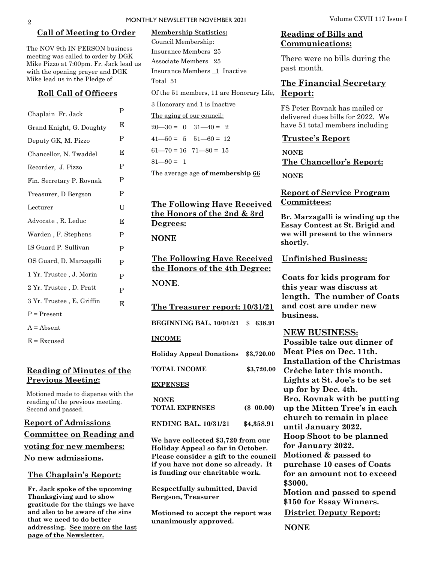### MONTHLY NEWSLETTER NOVEMBER 2021 Volume CXVII 117 Issue I

### **Call of Meeting to Order**

The NOV 9th IN PERSON business meeting was called to order by DGK Mike Pizzo at 7:00pm. Fr. Jack lead us with the opening prayer and DGK Mike lead us in the Pledge of

### **Roll Call of Officers**

| Chaplain Fr. Jack         | P |
|---------------------------|---|
| Grand Knight, G. Doughty  | Е |
| Deputy GK, M. Pizzo       | P |
| Chancellor, N. Twaddel    | E |
| Recorder, J. Pizzo        | P |
| Fin. Secretary P. Rovnak  | P |
| Treasurer, D Bergson      | P |
| Lecturer                  | U |
| Advocate, R. Leduc        | E |
| Warden, F. Stephens       | P |
| IS Guard P. Sullivan      | P |
| OS Guard, D. Marzagalli   | P |
| 1 Yr. Trustee , J. Morin  | P |
| 2 Yr. Trustee, D. Pratt   | P |
| 3 Yr. Trustee, E. Griffin | E |
| $P = Present$             |   |
| $A = Absent$              |   |
|                           |   |

 $E = Excused$ 

### **Reading of Minutes of the Previous Meeting:**

Motioned made to dispense with the reading of the previous meeting. Second and passed.

**Report of Admissions Committee on Reading and voting for new members: No new admissions.** 

### **The Chaplain's Report:**

**Fr. Jack spoke of the upcoming Thanksgiving and to show gratitude for the things we have and also to be aware of the sins that we need to do better addressing. See more on the last page of the Newsletter.** 

# **Membership Statistics:**

Of the 51 members, 11 are Honorary Life, Report: Council Membership: Insurance Members 25 Associate Members 25 Insurance Members 1 Inactive Total 51

3 Honorary and 1 is Inactive

The aging of our council:

 $20 - 30 = 0$   $31 - 40 = 2$  $41 - 50 = 5$   $51 - 60 = 12$  $61 - 70 = 16$   $71 - 80 = 15$ 

 $81 - 90 = 1$ 

The average age **of membership 66**

### **The Following Have Received the Honors of the 2nd & 3rd Degrees:**

### **NONE**

**The Following Have Received the Honors of the 4th Degree: NONE**.

**The Treasurer report: 10/31/21**

**BEGINNING BAL. 10/01/21** \$ **638.91 INCOME Holiday Appeal Donations \$3,720.00 TOTAL INCOME \$3,720.00** 

### **EXPENSES**

| <b>NONE</b>                 |            |
|-----------------------------|------------|
| <b>TOTAL EXPENSES</b>       | (S 00.00)  |
| <b>ENDING BAL, 10/31/21</b> | \$4.358.91 |

**We have collected \$3,720 from our Holiday Appeal so far in October. Please consider a gift to the council** 

**if you have not done so already. It is funding our charitable work.** 

**Respectfully submitted, David Bergson, Treasurer**

**Motioned to accept the report was unanimously approved.**

### **Reading of Bills and Communications:**

There were no bills during the past month.

# **The Financial Secretary**

FS Peter Rovnak has mailed or delivered dues bills for 2022. We have 51 total members including

### **Trustee's Report**

**NONE The Chancellor's Report: NONE**

### **Report of Service Program Committees:**

**Br. Marzagalli is winding up the Essay Contest at St. Brigid and we will present to the winners shortly.** 

**Unfinished Business:** 

**Coats for kids program for this year was discuss at length. The number of Coats and cost are under new business.**

### **NEW BUSINESS:**

**Possible take out dinner of Meat Pies on Dec. 11th. Installation of the Christmas Crèche later this month. Lights at St. Joe's to be set up for by Dec. 4th. Bro. Rovnak with be putting up the Mitten Tree's in each church to remain in place until January 2022. Hoop Shoot to be planned for January 2022. Motioned & passed to purchase 10 cases of Coats for an amount not to exceed \$3000. Motion and passed to spend \$150 for Essay Winners.**

**District Deputy Report:**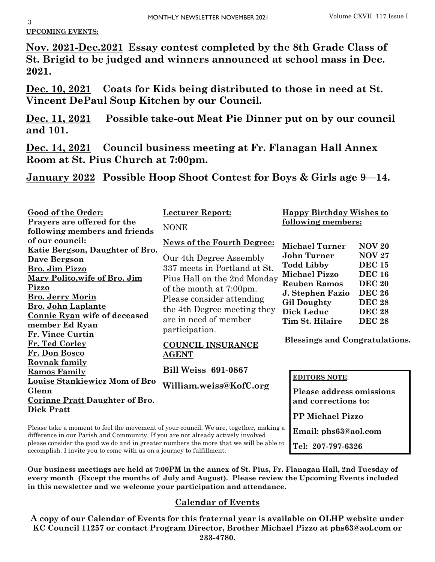## **UPCOMING EVENTS:**

**Nov. 2021-Dec.2021 Essay contest completed by the 8th Grade Class of St. Brigid to be judged and winners announced at school mass in Dec. 2021.**

**Dec. 10, 2021 Coats for Kids being distributed to those in need at St. Vincent DePaul Soup Kitchen by our Council.** 

**Dec. 11, 2021 Possible take-out Meat Pie Dinner put on by our council and 101.**

**Dec. 14, 2021 Council business meeting at Fr. Flanagan Hall Annex Room at St. Pius Church at 7:00pm.** 

**January 2022 Possible Hoop Shoot Contest for Boys & Girls age 9—14.**

| Good of the Order:                                                                                                                                                        | <b>Lecturer Report:</b>           |                                             | <b>Happy Birthday Wishes to</b> |  |
|---------------------------------------------------------------------------------------------------------------------------------------------------------------------------|-----------------------------------|---------------------------------------------|---------------------------------|--|
| Prayers are offered for the<br>following members and friends                                                                                                              | <b>NONE</b>                       | following members:                          |                                 |  |
| of our council:                                                                                                                                                           | <b>News of the Fourth Degree:</b> |                                             |                                 |  |
| Katie Bergson, Daughter of Bro.                                                                                                                                           |                                   | <b>Michael Turner</b>                       | <b>NOV 20</b>                   |  |
| Dave Bergson                                                                                                                                                              | Our 4th Degree Assembly           | <b>John Turner</b>                          | <b>NOV 27</b>                   |  |
| Bro. Jim Pizzo                                                                                                                                                            | 337 meets in Portland at St.      | <b>Todd Libby</b>                           | <b>DEC 15</b><br><b>DEC 16</b>  |  |
| Mary Polito, wife of Bro. Jim                                                                                                                                             | Pius Hall on the 2nd Monday       | <b>Michael Pizzo</b><br><b>Reuben Ramos</b> | <b>DEC 20</b>                   |  |
| Pizzo                                                                                                                                                                     | of the month at 7:00pm.           | J. Stephen Fazio                            | <b>DEC 26</b>                   |  |
| <b>Bro. Jerry Morin</b>                                                                                                                                                   | Please consider attending         | <b>Gil Doughty</b>                          | <b>DEC 28</b>                   |  |
| <b>Bro. John Laplante</b>                                                                                                                                                 | the 4th Degree meeting they       | <b>Dick Leduc</b>                           | <b>DEC 28</b>                   |  |
| Connie Ryan wife of deceased<br>member Ed Ryan                                                                                                                            | are in need of member             | Tim St. Hilaire                             | <b>DEC 28</b>                   |  |
| Fr. Vince Curtin                                                                                                                                                          | participation.                    |                                             |                                 |  |
| Fr. Ted Corley                                                                                                                                                            | <b>COUNCIL INSURANCE</b>          | <b>Blessings and Congratulations.</b>       |                                 |  |
| Fr. Don Bosco                                                                                                                                                             | <b>AGENT</b>                      |                                             |                                 |  |
| <b>Rovnak family</b>                                                                                                                                                      |                                   |                                             |                                 |  |
| <b>Ramos Family</b>                                                                                                                                                       | <b>Bill Weiss 691-0867</b>        | <b>EDITORS NOTE:</b>                        |                                 |  |
| <b>Louise Stankiewicz Mom of Bro</b>                                                                                                                                      | William.weiss@KofC.org            |                                             |                                 |  |
| Glenn                                                                                                                                                                     |                                   |                                             | <b>Please address omissions</b> |  |
| <b>Corinne Pratt Daughter of Bro.</b>                                                                                                                                     |                                   | and corrections to:                         |                                 |  |
| <b>Dick Pratt</b>                                                                                                                                                         |                                   | <b>PP Michael Pizzo</b>                     |                                 |  |
| Please take a moment to feel the movement of your council. We are, together, making a<br>difference in our Parish and Community. If you are not already actively involved |                                   |                                             | Email: phs63@aol.com            |  |

please consider the good we do and in greater numbers the more that we will be able to accomplish. I invite you to come with us on a journey to fulfillment.

**Our business meetings are held at 7:00PM in the annex of St. Pius, Fr. Flanagan Hall, 2nd Tuesday of every month (Except the months of July and August). Please review the Upcoming Events included in this newsletter and we welcome your participation and attendance.** 

**Tel: 207-797-6326**

## **Calendar of Events**

**A copy of our Calendar of Events for this fraternal year is available on OLHP website under KC Council 11257 or contact Program Director, Brother Michael Pizzo at phs63@aol.com or 233-4780.**

3